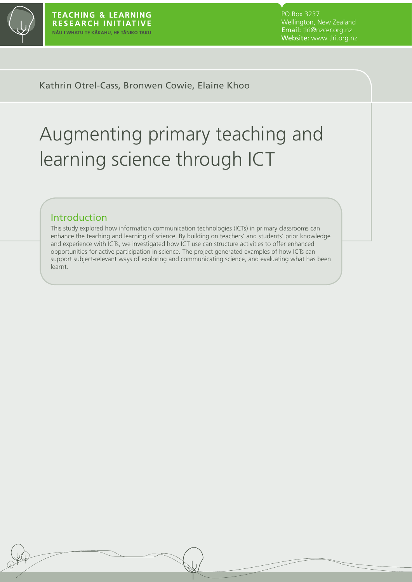

PO Box 3237 Wellington, New Zealand Email: tlri@nzcer.org.nz Website: www.tlri.org.nz

### Kathrin Otrel-Cass, Bronwen Cowie, Elaine Khoo

# Augmenting primary teaching and learning science through ICT

## Introduction

This study explored how information communication technologies (ICTs) in primary classrooms can enhance the teaching and learning of science. By building on teachers' and students' prior knowledge and experience with ICTs, we investigated how ICT use can structure activities to offer enhanced opportunities for active participation in science. The project generated examples of how ICTs can support subject-relevant ways of exploring and communicating science, and evaluating what has been learnt.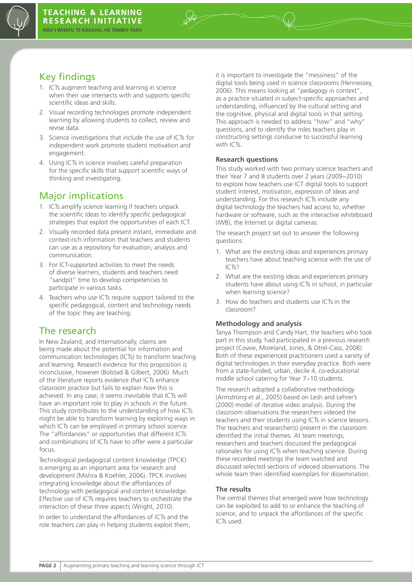

# Key findings

- 1. ICTs augment teaching and learning in science when their use intersects with and supports specific scientific ideas and skills.
- 2. Visual recording technologies promote independent learning by allowing students to collect, review and revise data.
- 3. Science investigations that include the use of ICTs for independent work promote student motivation and engagement.
- 4. Using ICTs in science involves careful preparation for the specific skills that support scientific ways of thinking and investigating.

# Major implications

- 1. ICTs amplify science learning if teachers unpack the scientific ideas to identify specific pedagogical strategies that exploit the opportunities of each ICT.
- 2. Visually recorded data present instant, immediate and context-rich information that teachers and students can use as a repository for evaluation, analysis and communication.
- 3. For ICT-supported activities to meet the needs of diverse learners, students and teachers need "sandpit" time to develop competencies to participate in various tasks.
- 4. Teachers who use ICTs require support tailored to the specific pedagogical, content and technology needs of the topic they are teaching.

## The research

In New Zealand, and internationally, claims are being made about the potential for information and communication technologies (ICTs) to transform teaching and learning. Research evidence for this proposition is inconclusive, however (Bolstad & Gilbert, 2006). Much of the literature reports evidence *that* ICTs enhance classroom practice but fails to explain *how* this is achieved. In any case, it seems inevitable that ICTs will have an important role to play in schools in the future. This study contributes to the understanding of how ICTs might be able to transform learning by exploring ways in which ICTs can be employed in primary school science. The "affordances" or opportunities that different ICTs and combinations of ICTs have to offer were a particular focus.

Technological pedagogical content knowledge (TPCK) is emerging as an important area for research and development (Mishra & Koehler, 2006). TPCK involves integrating knowledge about the affordances of technology with pedagogical and content knowledge. Effective use of ICTs requires teachers to orchestrate the interaction of these three aspects (Wright, 2010).

In order to understand the affordances of ICTs and the role teachers can play in helping students exploit them, it is important to investigate the "messiness" of the digital tools being used in science classrooms (Hennessey, 2006). This means looking at "pedagogy in context", as a practice situated in subject-specific approaches and understanding, influenced by the cultural setting and the cognitive, physical and digital tools in that setting. This approach is needed to address "how" and "why" questions, and to identify the roles teachers play in constructing settings conducive to successful learning with ICTs.

#### **Research questions**

This study worked with two primary science teachers and their Year 7 and 8 students over 2 years (2009−2010) to explore how teachers use ICT digital tools to support student interest, motivation, expression of ideas and understanding. For this research ICTs include any digital technology the teachers had access to, whether hardware or software, such as the interactive whiteboard (IWB), the Internet or digital cameras.

The research project set out to answer the following questions:

- 1. What are the existing ideas and experiences primary teachers have about teaching science with the use of ICTs?
- 2. What are the existing ideas and experiences primary students have about using ICTs in school, in particular when learning science?
- 3. How do teachers and students use ICTs in the classroom?

#### **Methodology and analysis**

Tanya Thompson and Candy Hart, the teachers who took part in this study, had participated in a previous research project (Cowie, Moreland, Jones, & Otrel-Cass, 2008). Both of these experienced practitioners used a variety of digital technologies in their everyday practice. Both were from a state-funded, urban, decile 4, co-educational middle school catering for Year 7−10 students.

The research adopted a collaborative methodology (Armstrong et al., 2005) based on Lesh and Lehrer's (2000) model of iterative video analysis. During the classroom observations the researchers videoed the teachers and their students using ICTs in science lessons. The teachers and researcher(s) present in the classroom identified the initial themes. At team meetings, researchers and teachers discussed the pedagogical rationales for using ICTs when teaching science. During these recorded meetings the team watched and discussed selected sections of videoed observations. The whole team then identified exemplars for dissemination.

#### **The results**

The central themes that emerged were how technology can be exploited to add to or enhance the teaching of science, and to unpack the affordances of the specific ICTs used.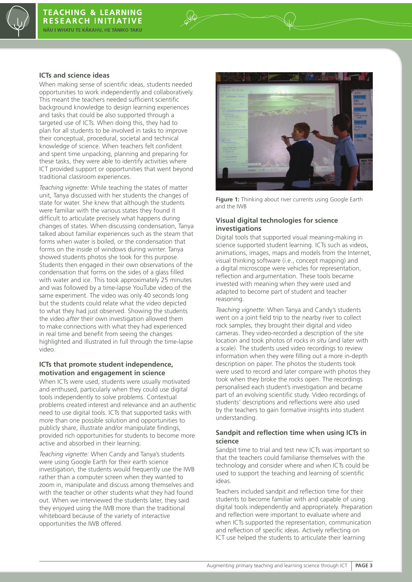

#### **ICTs and science ideas**

When making sense of scientific ideas, students needed opportunities to work independently and collaboratively. This meant the teachers needed sufficient scientific background knowledge to design learning experiences and tasks that could be also supported through a targeted use of ICTs. When doing this, they had to plan for all students to be involved in tasks to improve their conceptual, procedural, societal and technical knowledge of science. When teachers felt confident and spent time unpacking, planning and preparing for these tasks, they were able to identify activities where ICT provided support or opportunities that went beyond traditional classroom experiences.

*Teaching vignette:* While teaching the states of matter unit, Tanya discussed with her students the changes of state for water. She knew that although the students were familiar with the various states they found it difficult to articulate precisely what happens during changes of states. When discussing condensation, Tanya talked about familiar experiences such as the steam that forms when water is boiled, or the condensation that forms on the inside of windows during winter. Tanya showed students photos she took for this purpose. Students then engaged in their own observations of the condensation that forms on the sides of a glass filled with water and ice. This took approximately 25 minutes and was followed by a time-lapse YouTube video of the same experiment. The video was only 40 seconds long but the students could relate what the video depicted to what they had just observed. Showing the students the video *after* their own investigation allowed them to make connections with what they had experienced in real time and benefit from seeing the changes highlighted and illustrated in full through the time-lapse video.

#### **ICTs that promote student independence, motivation and engagement in science**

When ICTs were used, students were usually motivated and enthused, particularly when they could use digital tools independently to solve problems. Contextual problems created interest and relevance and an authentic need to use digital tools. ICTs that supported tasks with more than one possible solution and opportunities to publicly share, illustrate and/or manipulate findings, provided rich opportunities for students to become more active and absorbed in their learning.

*Teaching vignette:* When Candy and Tanya's students were using Google Earth for their earth science investigation, the students would frequently use the IWB rather than a computer screen when they wanted to zoom in, manipulate and discuss among themselves and with the teacher or other students what they had found out. When we interviewed the students later, they said they enjoyed using the IWB more than the traditional whiteboard because of the variety of interactive opportunities the IWB offered.



**Figure 1:** Thinking about river currents using Google Earth and the IWB

#### **Visual digital technologies for science investigations**

Digital tools that supported visual meaning-making in science supported student learning. ICTs such as videos, animations, images, maps and models from the Internet, visual thinking software (i.e., concept mapping) and a digital microscope were vehicles for representation, reflection and argumentation. These tools became invested with meaning when they were used and adapted to become part of student and teacher reasoning.

*Teaching vignette:* When Tanya and Candy's students went on a joint field trip to the nearby river to collect rock samples, they brought their digital and video cameras. They video-recorded a description of the site location and took photos of rocks *in situ* (and later with a scale). The students used video recordings to review information when they were filling out a more in-depth description on paper. The photos the students took were used to record and later compare with photos they took when they broke the rocks open. The recordings personalised each student's investigation and became part of an evolving scientific study. Video recordings of students' descriptions and reflections were also used by the teachers to gain formative insights into student understanding.

#### **Sandpit and reflection time when using ICTs in science**

Sandpit time to trial and test new ICTs was important so that the teachers could familiarise themselves with the technology and consider where and when ICTs could be used to support the teaching and learning of scientific ideas.

Teachers included sandpit and reflection time for their students to become familiar with and capable of using digital tools independently and appropriately. Preparation and reflection were important to evaluate where and when ICTs supported the representation, communication and reflection of specific ideas. Actively reflecting on ICT use helped the students to articulate their learning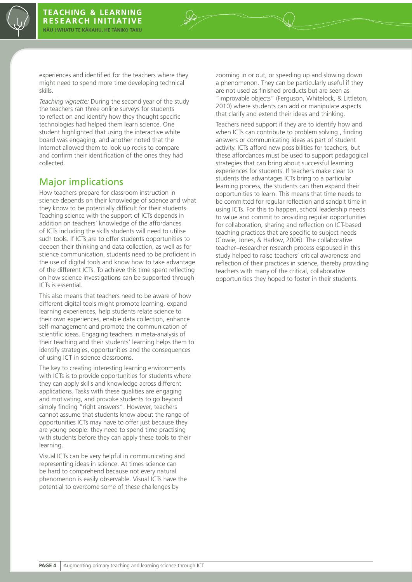

experiences and identified for the teachers where they might need to spend more time developing technical skills.

*Teaching vignette:* During the second year of the study the teachers ran three online surveys for students to reflect on and identify how they thought specific technologies had helped them learn science. One student highlighted that using the interactive white board was engaging, and another noted that the Internet allowed them to look up rocks to compare and confirm their identification of the ones they had collected.

## Major implications

How teachers prepare for classroom instruction in science depends on their knowledge of science and what they know to be potentially difficult for their students. Teaching science with the support of ICTs depends in addition on teachers' knowledge of the affordances of ICTs including the skills students will need to utilise such tools. If ICTs are to offer students opportunities to deepen their thinking and data collection, as well as for science communication, students need to be proficient in the use of digital tools and know how to take advantage of the different ICTs. To achieve this time spent reflecting on how science investigations can be supported through ICTs is essential.

This also means that teachers need to be aware of how different digital tools might promote learning, expand learning experiences, help students relate science to their own experiences, enable data collection, enhance self-management and promote the communication of scientific ideas. Engaging teachers in meta-analysis of their teaching and their students' learning helps them to identify strategies, opportunities and the consequences of using ICT in science classrooms.

The key to creating interesting learning environments with ICTs is to provide opportunities for students where they can apply skills and knowledge across different applications. Tasks with these qualities are engaging and motivating, and provoke students to go beyond simply finding "right answers". However, teachers cannot assume that students know about the range of opportunities ICTs may have to offer just because they are young people: they need to spend time practising with students before they can apply these tools to their learning.

Visual ICTs can be very helpful in communicating and representing ideas in science. At times science can be hard to comprehend because not every natural phenomenon is easily observable. Visual ICTs have the potential to overcome some of these challenges by

zooming in or out, or speeding up and slowing down a phenomenon. They can be particularly useful if they are not used as finished products but are seen as "improvable objects" (Ferguson, Whitelock, & Littleton, 2010) where students can add or manipulate aspects that clarify and extend their ideas and thinking.

Teachers need support if they are to identify how and when ICTs can contribute to problem solving , finding answers or communicating ideas as part of student activity. ICTs afford new possibilities for teachers, but these affordances must be used to support pedagogical strategies that can bring about successful learning experiences for students. If teachers make clear to students the advantages ICTs bring to a particular learning process, the students can then expand their opportunities to learn. This means that time needs to be committed for regular reflection and sandpit time in using ICTs. For this to happen, school leadership needs to value and commit to providing regular opportunities for collaboration, sharing and reflection on ICT-based teaching practices that are specific to subject needs (Cowie, Jones, & Harlow, 2006). The collaborative teacher−researcher research process espoused in this study helped to raise teachers' critical awareness and reflection of their practices in science, thereby providing teachers with many of the critical, collaborative opportunities they hoped to foster in their students.